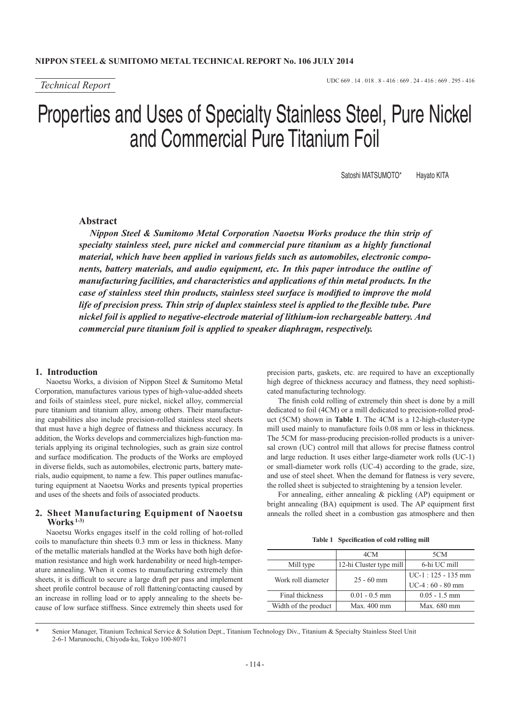# Properties and Uses of Specialty Stainless Steel, Pure Nickel and Commercial Pure Titanium Foil

Satoshi MATSUMOTO\* Havato KITA

## **Abstract**

*Nippon Steel & Sumitomo Metal Corporation Naoetsu Works produce the thin strip of specialty stainless steel, pure nickel and commercial pure titanium as a highly functional material, which have been applied in various fields such as automobiles, electronic components, battery materials, and audio equipment, etc. In this paper introduce the outline of manufacturing facilities, and characteristics and applications of thin metal products. In the case of stainless steel thin products, stainless steel surface is modified to improve the mold life of precision press. Thin strip of duplex stainless steel is applied to the flexible tube. Pure nickel foil is applied to negative-electrode material of lithium-ion rechargeable battery. And commercial pure titanium foil is applied to speaker diaphragm, respectively.*

## **1. Introduction**

Naoetsu Works, a division of Nippon Steel & Sumitomo Metal Corporation, manufactures various types of high-value-added sheets and foils of stainless steel, pure nickel, nickel alloy, commercial pure titanium and titanium alloy, among others. Their manufacturing capabilities also include precision-rolled stainless steel sheets that must have a high degree of flatness and thickness accuracy. In addition, the Works develops and commercializes high-function materials applying its original technologies, such as grain size control and surface modification. The products of the Works are employed in diverse fields, such as automobiles, electronic parts, battery materials, audio equipment, to name a few. This paper outlines manufacturing equipment at Naoetsu Works and presents typical properties and uses of the sheets and foils of associated products.

## **2. Sheet Manufacturing Equipment of Naoetsu Works 1-3)**

Naoetsu Works engages itself in the cold rolling of hot-rolled coils to manufacture thin sheets 0.3 mm or less in thickness. Many of the metallic materials handled at the Works have both high deformation resistance and high work hardenability or need high-temperature annealing. When it comes to manufacturing extremely thin sheets, it is difficult to secure a large draft per pass and implement sheet profile control because of roll flattening/contacting caused by an increase in rolling load or to apply annealing to the sheets because of low surface stiffness. Since extremely thin sheets used for

precision parts, gaskets, etc. are required to have an exceptionally high degree of thickness accuracy and flatness, they need sophisticated manufacturing technology.

The finish cold rolling of extremely thin sheet is done by a mill dedicated to foil (4CM) or a mill dedicated to precision-rolled product (5CM) shown in **Table 1**. The 4CM is a 12-high-cluster-type mill used mainly to manufacture foils 0.08 mm or less in thickness. The 5CM for mass-producing precision-rolled products is a universal crown (UC) control mill that allows for precise flatness control and large reduction. It uses either large-diameter work rolls (UC-1) or small-diameter work rolls (UC-4) according to the grade, size, and use of steel sheet. When the demand for flatness is very severe, the rolled sheet is subjected to straightening by a tension leveler.

For annealing, either annealing & pickling (AP) equipment or bright annealing (BA) equipment is used. The AP equipment first anneals the rolled sheet in a combustion gas atmosphere and then

|  | Table 1 Specification of cold rolling mill |  |  |  |
|--|--------------------------------------------|--|--|--|
|--|--------------------------------------------|--|--|--|

|                      | 4CM                     | 5CM                  |  |
|----------------------|-------------------------|----------------------|--|
| Mill type            | 12-hi Cluster type mill | 6-hi UC mill         |  |
|                      |                         | $UC-1: 125 - 135$ mm |  |
|                      |                         | $UC-4:60 - 80$ mm    |  |
| Final thickness      | $0.01 - 0.5$ mm         | $0.05 - 1.5$ mm      |  |
| Width of the product | $Max.400$ mm            | Max. 680 mm          |  |
| Work roll diameter   | $25 - 60$ mm            |                      |  |

Senior Manager, Titanium Technical Service & Solution Dept., Titanium Technology Div., Titanium & Specialty Stainless Steel Unit 2-6-1 Marunouchi, Chiyoda-ku, Tokyo 100-8071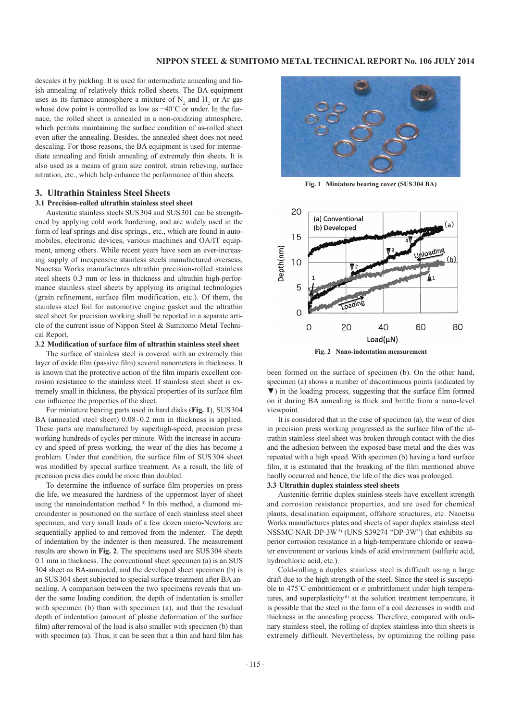descales it by pickling. It is used for intermediate annealing and finish annealing of relatively thick rolled sheets. The BA equipment uses as its furnace atmosphere a mixture of  $N_2$  and  $H_2$  or Ar gas whose dew point is controlled as low as −40˚C or under. In the furnace, the rolled sheet is annealed in a non-oxidizing atmosphere, which permits maintaining the surface condition of as-rolled sheet even after the annealing. Besides, the annealed sheet does not need descaling. For those reasons, the BA equipment is used for intermediate annealing and finish annealing of extremely thin sheets. It is also used as a means of grain size control, strain relieving, surface nitration, etc., which help enhance the performance of thin sheets.

#### **3. Ultrathin Stainless Steel Sheets**

#### **3.1 Precision-rolled ultrathin stainless steel sheet**

Austenitic stainless steels SUS304 and SUS301 can be strengthened by applying cold work hardening, and are widely used in the form of leaf springs and disc springs., etc., which are found in automobiles, electronic devices, various machines and OA/IT equipment, among others. While recent years have seen an ever-increasing supply of inexpensive stainless steels manufactured overseas. Naoetsu Works manufactures ultrathin precision-rolled stainless steel sheets 0.3 mm or less in thickness and ultrathin high-performance stainless steel sheets by applying its original technologies (grain refinement, surface film modification, etc.). Of them, the stainless steel foil for automotive engine gasket and the ultrathin steel sheet for precision working shall be reported in a separate article of the current issue of Nippon Steel & Sumitomo Metal Technical Report.

#### **3.2 Modification of surface film of ultrathin stainless steel sheet**

The surface of stainless steel is covered with an extremely thin layer of oxide film (passive film) several nanometers in thickness. It is known that the protective action of the film imparts excellent corrosion resistance to the stainless steel. If stainless steel sheet is extremely small in thickness, the physical properties of its surface film can influence the properties of the sheet.

For miniature bearing parts used in hard disks (**Fig. 1**), SUS304 BA (annealed steel sheet) 0.08-0.2 mm in thickness is applied. These parts are manufactured by superhigh-speed, precision press working hundreds of cycles per minute. With the increase in accuracy and speed of press working, the wear of the dies has become a problem. Under that condition, the surface film of SUS304 sheet was modified by special surface treatment. As a result, the life of precision press dies could be more than doubled.

To determine the influence of surface film properties on press die life, we measured the hardness of the uppermost layer of sheet using the nanoindentation method.4) In this method, a diamond microindenter is positioned on the surface of each stainless steel sheet specimen, and very small loads of a few dozen micro-Newtons are sequentially applied to and removed from the indenter.– The depth of indentation by the indenter is then measured. The measurement results are shown in **Fig. 2**. The specimens used are SUS304 sheets 0.1 mm in thickness. The conventional sheet specimen (a) is an SUS 304 sheet as BA-annealed, and the developed sheet specimen (b) is an SUS304 sheet subjected to special surface treatment after BA annealing. A comparison between the two specimens reveals that under the same loading condition, the depth of indentation is smaller with specimen (b) than with specimen (a), and that the residual depth of indentation (amount of plastic deformation of the surface film) after removal of the load is also smaller with specimen (b) than with specimen (a). Thus, it can be seen that a thin and hard film has



**Fig. 1 Miniature bearing cover (SUS304 BA)**



been formed on the surface of specimen (b). On the other hand, specimen (a) shows a number of discontinuous points (indicated by ▼) in the loading process, suggesting that the surface film formed on it during BA annealing is thick and brittle from a nano-level viewpoint.

It is considered that in the case of specimen (a), the wear of dies in precision press working progressed as the surface film of the ultrathin stainless steel sheet was broken through contact with the dies and the adhesion between the exposed base metal and the dies was repeated with a high speed. With specimen (b) having a hard surface film, it is estimated that the breaking of the film mentioned above hardly occurred and hence, the life of the dies was prolonged.

#### **3.3 Ultrathin duplex stainless steel sheets**

Austenitic-ferritic duplex stainless steels have excellent strength and corrosion resistance properties, and are used for chemical plants, desalination equipment, offshore structures, etc. Naoetsu Works manufactures plates and sheets of super duplex stainless steel NSSMC-NAR-DP-3W<sup>5)</sup> (UNS S39274 "DP-3W") that exhibits superior corrosion resistance in a high-temperature chloride or seawater environment or various kinds of acid environment (sulfuric acid, hydrochloric acid, etc.).

Cold-rolling a duplex stainless steel is difficult using a large draft due to the high strength of the steel. Since the steel is susceptible to 475<sup>°</sup>C embrittlement or  $\sigma$  embrittlement under high temperatures, and superplasticity<sup> $6$ </sup> at the solution treatment temperature, it is possible that the steel in the form of a coil decreases in width and thickness in the annealing process. Therefore, compared with ordinary stainless steel, the rolling of duplex stainless into thin sheets is extremely difficult. Nevertheless, by optimizing the rolling pass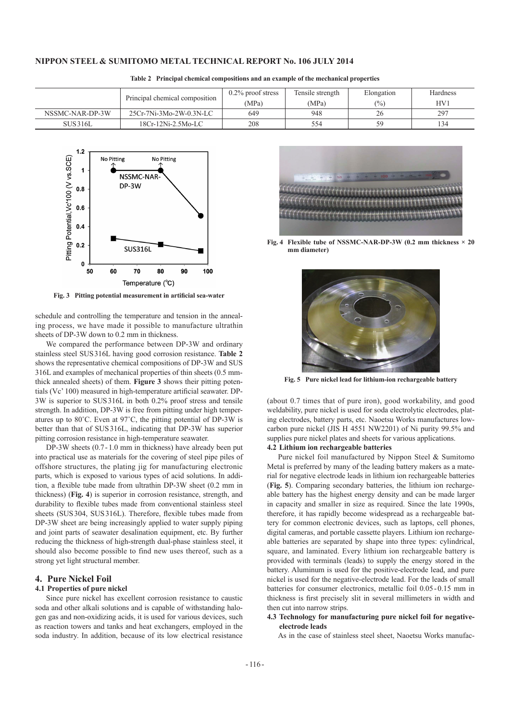|                 |                                | $0.2\%$ proof stress | Tensile strength | Elongation | Hardness |
|-----------------|--------------------------------|----------------------|------------------|------------|----------|
|                 | Principal chemical composition | (MPa)                | (MPa)            | (%)        | HV1      |
| NSSMC-NAR-DP-3W | 25Cr-7Ni-3Mo-2W-0.3N-LC        | 649                  | 948              | 26         | 297      |
| <b>SUS316L</b>  | $18Cr-12Ni-2.5Mo-LC$           | 208                  | 554              | 59         | 34       |

**Table 2 Principal chemical compositions and an example of the mechanical properties**



**Fig. 3 Pitting potential measurement in artificial sea-water**

schedule and controlling the temperature and tension in the annealing process, we have made it possible to manufacture ultrathin sheets of DP-3W down to 0.2 mm in thickness.

We compared the performance between DP-3W and ordinary stainless steel SUS316L having good corrosion resistance. **Table 2** shows the representative chemical compositions of DP-3W and SUS 316L and examples of mechanical properties of thin sheets (0.5 mmthick annealed sheets) of them. **Figure 3** shows their pitting potentials (Vc' 100) measured in high-temperature artificial seawater. DP-3W is superior to SUS316L in both 0.2% proof stress and tensile strength. In addition, DP-3W is free from pitting under high temperatures up to 80˚C. Even at 97˚C, the pitting potential of DP-3W is better than that of SUS316L, indicating that DP-3W has superior pitting corrosion resistance in high-temperature seawater.

DP-3W sheets (0.7-1.0 mm in thickness) have already been put into practical use as materials for the covering of steel pipe piles of offshore structures, the plating jig for manufacturing electronic parts, which is exposed to various types of acid solutions. In addition, a flexible tube made from ultrathin DP-3W sheet (0.2 mm in thickness) (**Fig. 4**) is superior in corrosion resistance, strength, and durability to flexible tubes made from conventional stainless steel sheets (SUS304, SUS316L). Therefore, flexible tubes made from DP-3W sheet are being increasingly applied to water supply piping and joint parts of seawater desalination equipment, etc. By further reducing the thickness of high-strength dual-phase stainless steel, it should also become possible to find new uses thereof, such as a strong yet light structural member.

## **4. Pure Nickel Foil**

#### **4.1 Properties of pure nickel**

Since pure nickel has excellent corrosion resistance to caustic soda and other alkali solutions and is capable of withstanding halogen gas and non-oxidizing acids, it is used for various devices, such as reaction towers and tanks and heat exchangers, employed in the soda industry. In addition, because of its low electrical resistance



**Fig. 4 Flexible tube of NSSMC-NAR-DP-3W (0.2 mm thickness**  $\times$  **20 mm diameter)**



**Fig. 5 Pure nickel lead for lithium-ion rechargeable battery**

(about 0.7 times that of pure iron), good workability, and good weldability, pure nickel is used for soda electrolytic electrodes, plating electrodes, battery parts, etc. Naoetsu Works manufactures lowcarbon pure nickel (JIS H 4551 NW2201) of Ni purity 99.5% and supplies pure nickel plates and sheets for various applications.

## **4.2 Lithium ion rechargeable batteries**

Pure nickel foil manufactured by Nippon Steel & Sumitomo Metal is preferred by many of the leading battery makers as a material for negative electrode leads in lithium ion rechargeable batteries (**Fig. 5**). Comparing secondary batteries, the lithium ion rechargeable battery has the highest energy density and can be made larger in capacity and smaller in size as required. Since the late 1990s, therefore, it has rapidly become widespread as a rechargeable battery for common electronic devices, such as laptops, cell phones, digital cameras, and portable cassette players. Lithium ion rechargeable batteries are separated by shape into three types: cylindrical, square, and laminated. Every lithium ion rechargeable battery is provided with terminals (leads) to supply the energy stored in the battery. Aluminum is used for the positive-electrode lead, and pure nickel is used for the negative-electrode lead. For the leads of small batteries for consumer electronics, metallic foil 0.05-0.15 mm in thickness is first precisely slit in several millimeters in width and then cut into narrow strips.

**4.3 Technology for manufacturing pure nickel foil for negativeelectrode leads**

As in the case of stainless steel sheet, Naoetsu Works manufac-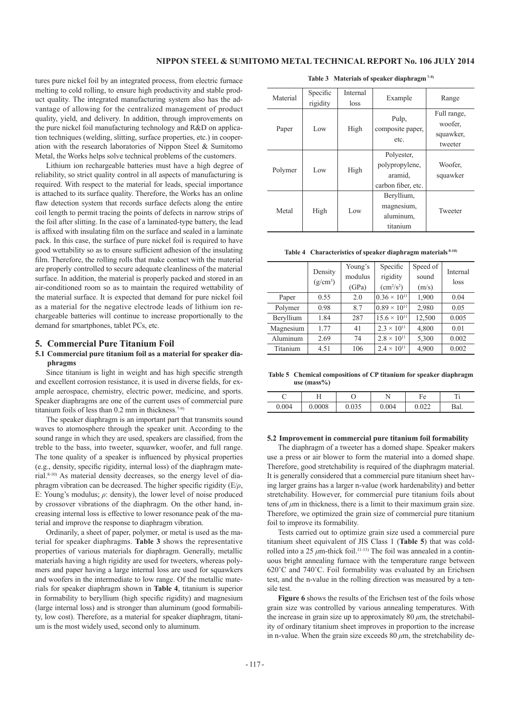tures pure nickel foil by an integrated process, from electric furnace melting to cold rolling, to ensure high productivity and stable product quality. The integrated manufacturing system also has the advantage of allowing for the centralized management of product quality, yield, and delivery. In addition, through improvements on the pure nickel foil manufacturing technology and R&D on application techniques (welding, slitting, surface properties, etc.) in cooperation with the research laboratories of Nippon Steel & Sumitomo Metal, the Works helps solve technical problems of the customers.

Lithium ion rechargeable batteries must have a high degree of reliability, so strict quality control in all aspects of manufacturing is required. With respect to the material for leads, special importance is attached to its surface quality. Therefore, the Works has an online flaw detection system that records surface defects along the entire coil length to permit tracing the points of defects in narrow strips of the foil after slitting. In the case of a laminated-type battery, the lead is affixed with insulating film on the surface and sealed in a laminate pack. In this case, the surface of pure nickel foil is required to have good wettability so as to ensure sufficient adhesion of the insulating film. Therefore, the rolling rolls that make contact with the material are properly controlled to secure adequate cleanliness of the material surface. In addition, the material is properly packed and stored in an air-conditioned room so as to maintain the required wettability of the material surface. It is expected that demand for pure nickel foil as a material for the negative electrode leads of lithium ion rechargeable batteries will continue to increase proportionally to the demand for smartphones, tablet PCs, etc.

#### **5. Commercial Pure Titanium Foil**

## **5.1 Commercial pure titanium foil as a material for speaker diaphragms**

Since titanium is light in weight and has high specific strength and excellent corrosion resistance, it is used in diverse fields, for example aerospace, chemistry, electric power, medicine, and sports. Speaker diaphragms are one of the current uses of commercial pure titanium foils of less than 0.2 mm in thickness.<sup>7-9)</sup>

The speaker diaphragm is an important part that transmits sound waves to atomosphere through the speaker unit. According to the sound range in which they are used, speakers are classified, from the treble to the bass, into tweeter, squawker, woofer, and full range. The tone quality of a speaker is influenced by physical properties (e.g., density, specific rigidity, internal loss) of the diaphragm material.8-10) As material density decreases, so the energy level of diaphragm vibration can be decreased. The higher specific rigidity (E/*ρ*, E: Young's modulus; *ρ*: density), the lower level of noise produced by crossover vibrations of the diaphragm. On the other hand, increasing internal loss is effective to lower resonance peak of the material and improve the response to diaphragm vibration.

Ordinarily, a sheet of paper, polymer, or metal is used as the material for speaker diaphragms. **Table 3** shows the representative properties of various materials for diaphragm. Generally, metallic materials having a high rigidity are used for tweeters, whereas polymers and paper having a large internal loss are used for squawkers and woofers in the intermediate to low range. Of the metallic materials for speaker diaphragm shown in **Table 4**, titanium is superior in formability to beryllium (high specific rigidity) and magnesium (large internal loss) and is stronger than aluminum (good formability, low cost). Therefore, as a material for speaker diaphragm, titanium is the most widely used, second only to aluminum.

| Material | Specific | Internal | Example            | Range       |  |
|----------|----------|----------|--------------------|-------------|--|
|          | rigidity | loss     |                    |             |  |
|          |          |          |                    | Full range, |  |
|          |          | High     | Pulp,              | woofer.     |  |
| Paper    | Low      |          | composite paper,   | squawker,   |  |
|          |          |          | etc.               | tweeter     |  |
| Polymer  | Low      | High     | Polyester,         |             |  |
|          |          |          | polypropylene,     | Woofer.     |  |
|          |          |          | aramid.            | squawker    |  |
|          |          |          | carbon fiber, etc. |             |  |
| Metal    | High     | Low      | Beryllium,         |             |  |
|          |          |          | magnesium,         |             |  |
|          |          |          | aluminum,          | Tweeter     |  |
|          |          |          | titanium           |             |  |

#### **Table 3 Materials of speaker diaphragm 7-9)**

**Table 4 Characteristics of speaker diaphragm materials 8-10)**

|           | Density<br>$(g/cm^3)$ | Young's<br>modulus<br>(GPa) | Specific<br>rigidity<br>$\text{cm}^2/\text{s}^2$ | Speed of<br>sound<br>(m/s) | Internal<br>loss |
|-----------|-----------------------|-----------------------------|--------------------------------------------------|----------------------------|------------------|
| Paper     | 0.55                  | 2.0                         | $0.36 \times 10^{11}$                            | 1,900                      | 0.04             |
| Polymer   | 0.98                  | 8.7                         | $0.89 \times 10^{11}$                            | 2,980                      | 0.05             |
| Beryllium | 1.84                  | 287                         | $15.6 \times 10^{11}$                            | 12,500                     | 0.005            |
| Magnesium | 1.77                  | 41                          | $2.3 \times 10^{11}$                             | 4,800                      | 0.01             |
| Aluminum  | 2.69                  | 74                          | $2.8 \times 10^{11}$                             | 5,300                      | 0.002            |
| Titanium  | 4.51                  | 106                         | $2.4 \times 10^{11}$                             | 4,900                      | 0.002            |

**Table 5 Chemical compositions of CP titanium for speaker diaphragm**  use (mass<sup>9</sup>/<sub>0</sub>)

|       |        | ◡     |                                       | Fe | m.   |
|-------|--------|-------|---------------------------------------|----|------|
| 0.004 | 0.0008 | u.ujj | .004<br>$\mathbf{v} \cdot \mathbf{v}$ |    | Bal. |

#### **5.2 Improvement in commercial pure titanium foil formability**

The diaphragm of a tweeter has a domed shape. Speaker makers use a press or air blower to form the material into a domed shape. Therefore, good stretchability is required of the diaphragm material. It is generally considered that a commercial pure titanium sheet having larger grains has a larger n-value (work hardenability) and better stretchability. However, for commercial pure titanium foils about tens of *μ*m in thickness, there is a limit to their maximum grain size. Therefore, we optimized the grain size of commercial pure titanium foil to improve its formability.

Tests carried out to optimize grain size used a commercial pure titanium sheet equivalent of JIS Class 1 (**Table 5**) that was coldrolled into a 25  $\mu$ m-thick foil.<sup>11-13)</sup> The foil was annealed in a continuous bright annealing furnace with the temperature range between 620˚C and 740˚C. Foil formability was evaluated by an Erichsen test, and the n-value in the rolling direction was measured by a tensile test.

**Figure 6** shows the results of the Erichsen test of the foils whose grain size was controlled by various annealing temperatures. With the increase in grain size up to approximately  $80 \mu m$ , the stretchability of ordinary titanium sheet improves in proportion to the increase in n-value. When the grain size exceeds  $80 \mu m$ , the stretchability de-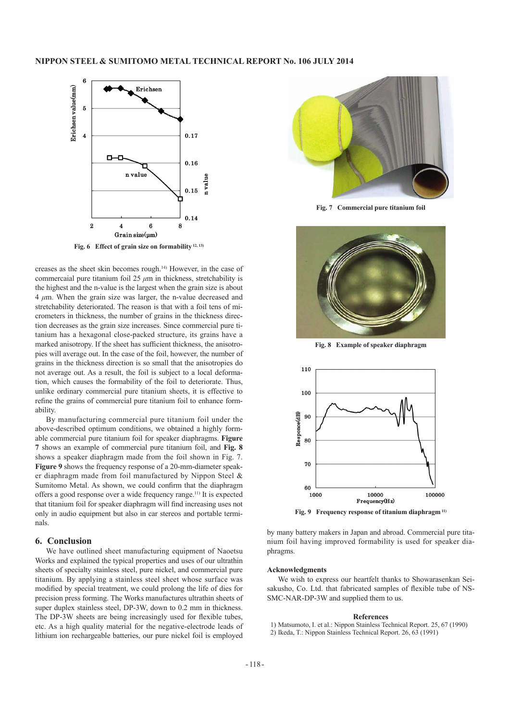

**Fig. 6 Effect of grain size on formability 12, 13)**

creases as the sheet skin becomes rough.14) However, in the case of commercaial pure titanium foil 25 *μ*m in thickness, stretchability is the highest and the n-value is the largest when the grain size is about 4 *μ*m. When the grain size was larger, the n-value decreased and stretchability deteriorated. The reason is that with a foil tens of micrometers in thickness, the number of grains in the thickness direction decreases as the grain size increases. Since commercial pure titanium has a hexagonal close-packed structure, its grains have a marked anisotropy. If the sheet has sufficient thickness, the anisotropies will average out. In the case of the foil, however, the number of grains in the thickness direction is so small that the anisotropies do not average out. As a result, the foil is subject to a local deformation, which causes the formability of the foil to deteriorate. Thus, unlike ordinary commercial pure titanium sheets, it is effective to refine the grains of commercial pure titanium foil to enhance formability.

By manufacturing commercial pure titanium foil under the above-described optimum conditions, we obtained a highly formable commercial pure titanium foil for speaker diaphragms. **Figure 7** shows an example of commercial pure titanium foil, and **Fig. 8** shows a speaker diaphragm made from the foil shown in Fig. 7. **Figure 9** shows the frequency response of a 20-mm-diameter speaker diaphragm made from foil manufactured by Nippon Steel & Sumitomo Metal. As shown, we could confirm that the diaphragm offers a good response over a wide frequency range.11) It is expected that titanium foil for speaker diaphragm will find increasing uses not only in audio equipment but also in car stereos and portable terminals.

## **6. Conclusion**

We have outlined sheet manufacturing equipment of Naoetsu Works and explained the typical properties and uses of our ultrathin sheets of specialty stainless steel, pure nickel, and commercial pure titanium. By applying a stainless steel sheet whose surface was modified by special treatment, we could prolong the life of dies for precision press forming. The Works manufactures ultrathin sheets of super duplex stainless steel, DP-3W, down to 0.2 mm in thickness. The DP-3W sheets are being increasingly used for flexible tubes, etc. As a high quality material for the negative-electrode leads of lithium ion rechargeable batteries, our pure nickel foil is employed



**Fig. 7 Commercial pure titanium foil**



**Fig. 8 Example of speaker diaphragm**



**Fig. 9 Frequency response of titanium diaphragm 11)**

by many battery makers in Japan and abroad. Commercial pure titanium foil having improved formability is used for speaker diaphragms.

#### **Acknowledgments**

We wish to express our heartfelt thanks to Showarasenkan Seisakusho, Co. Ltd. that fabricated samples of flexible tube of NS-SMC-NAR-DP-3W and supplied them to us.

#### **References**

- 1) Matsumoto, I. et al.: Nippon Stainless Technical Report. 25, 67 (1990)
- 2) Ikeda, T.: Nippon Stainless Technical Report. 26, 63 (1991)